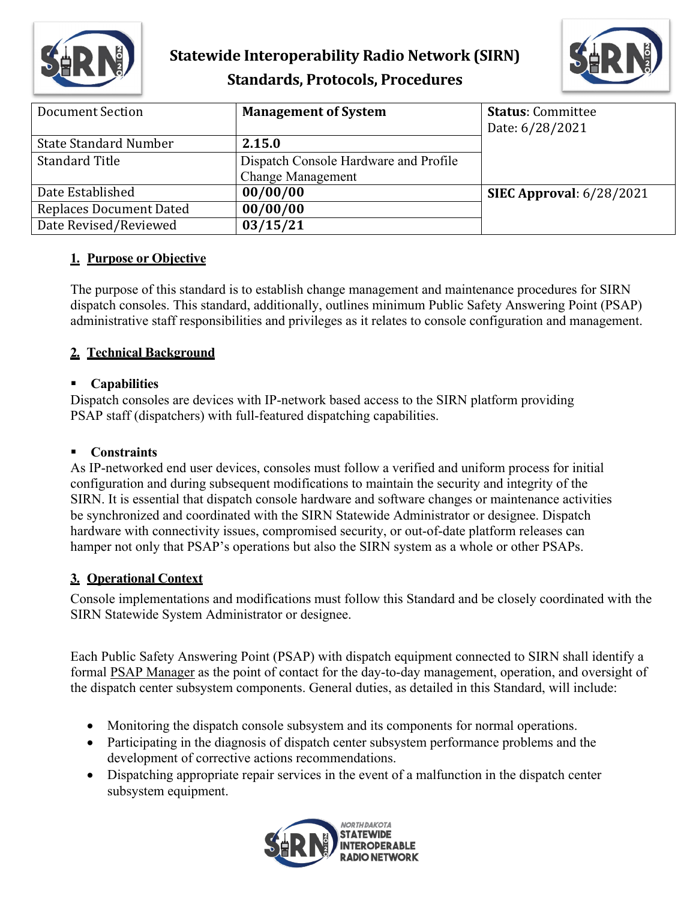



| Document Section               | <b>Management of System</b>           | <b>Status: Committee</b>        |
|--------------------------------|---------------------------------------|---------------------------------|
|                                |                                       | Date: 6/28/2021                 |
| <b>State Standard Number</b>   | 2.15.0                                |                                 |
| <b>Standard Title</b>          | Dispatch Console Hardware and Profile |                                 |
|                                | <b>Change Management</b>              |                                 |
| Date Established               | 00/00/00                              | <b>SIEC Approval:</b> 6/28/2021 |
| <b>Replaces Document Dated</b> | 00/00/00                              |                                 |
| Date Revised/Reviewed          | 03/15/21                              |                                 |

#### **1. Purpose or Objective**

The purpose of this standard is to establish change management and maintenance procedures for SIRN dispatch consoles. This standard, additionally, outlines minimum Public Safety Answering Point (PSAP) administrative staff responsibilities and privileges as it relates to console configuration and management.

## **2. Technical Background**

#### **Capabilities**

Dispatch consoles are devices with IP-network based access to the SIRN platform providing PSAP staff (dispatchers) with full-featured dispatching capabilities.

### **Constraints**

As IP-networked end user devices, consoles must follow a verified and uniform process for initial configuration and during subsequent modifications to maintain the security and integrity of the SIRN. It is essential that dispatch console hardware and software changes or maintenance activities be synchronized and coordinated with the SIRN Statewide Administrator or designee. Dispatch hardware with connectivity issues, compromised security, or out-of-date platform releases can hamper not only that PSAP's operations but also the SIRN system as a whole or other PSAPs.

## **3. Operational Context**

Console implementations and modifications must follow this Standard and be closely coordinated with the SIRN Statewide System Administrator or designee.

Each Public Safety Answering Point (PSAP) with dispatch equipment connected to SIRN shall identify a formal PSAP Manager as the point of contact for the day-to-day management, operation, and oversight of the dispatch center subsystem components. General duties, as detailed in this Standard, will include:

- Monitoring the dispatch console subsystem and its components for normal operations.
- Participating in the diagnosis of dispatch center subsystem performance problems and the development of corrective actions recommendations.
- Dispatching appropriate repair services in the event of a malfunction in the dispatch center subsystem equipment.

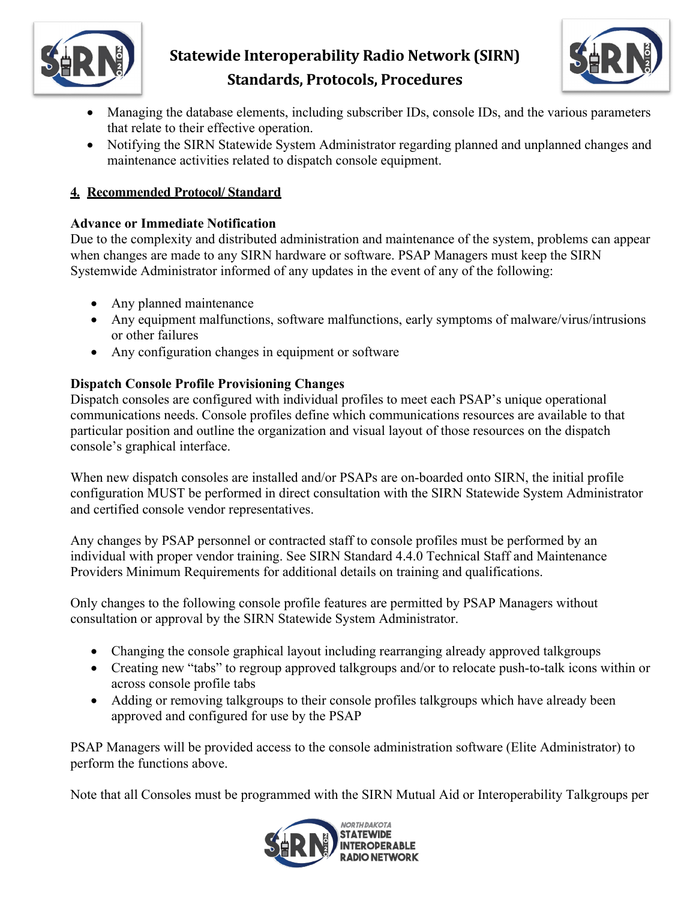



- Managing the database elements, including subscriber IDs, console IDs, and the various parameters that relate to their effective operation.
- Notifying the SIRN Statewide System Administrator regarding planned and unplanned changes and maintenance activities related to dispatch console equipment.

### **4. Recommended Protocol/ Standard**

#### **Advance or Immediate Notification**

Due to the complexity and distributed administration and maintenance of the system, problems can appear when changes are made to any SIRN hardware or software. PSAP Managers must keep the SIRN Systemwide Administrator informed of any updates in the event of any of the following:

- Any planned maintenance
- Any equipment malfunctions, software malfunctions, early symptoms of malware/virus/intrusions or other failures
- Any configuration changes in equipment or software

## **Dispatch Console Profile Provisioning Changes**

Dispatch consoles are configured with individual profiles to meet each PSAP's unique operational communications needs. Console profiles define which communications resources are available to that particular position and outline the organization and visual layout of those resources on the dispatch console's graphical interface.

When new dispatch consoles are installed and/or PSAPs are on-boarded onto SIRN, the initial profile configuration MUST be performed in direct consultation with the SIRN Statewide System Administrator and certified console vendor representatives.

Any changes by PSAP personnel or contracted staff to console profiles must be performed by an individual with proper vendor training. See SIRN Standard 4.4.0 Technical Staff and Maintenance Providers Minimum Requirements for additional details on training and qualifications.

Only changes to the following console profile features are permitted by PSAP Managers without consultation or approval by the SIRN Statewide System Administrator.

- Changing the console graphical layout including rearranging already approved talkgroups
- Creating new "tabs" to regroup approved talkgroups and/or to relocate push-to-talk icons within or across console profile tabs
- Adding or removing talkgroups to their console profiles talkgroups which have already been approved and configured for use by the PSAP

PSAP Managers will be provided access to the console administration software (Elite Administrator) to perform the functions above.

Note that all Consoles must be programmed with the SIRN Mutual Aid or Interoperability Talkgroups per

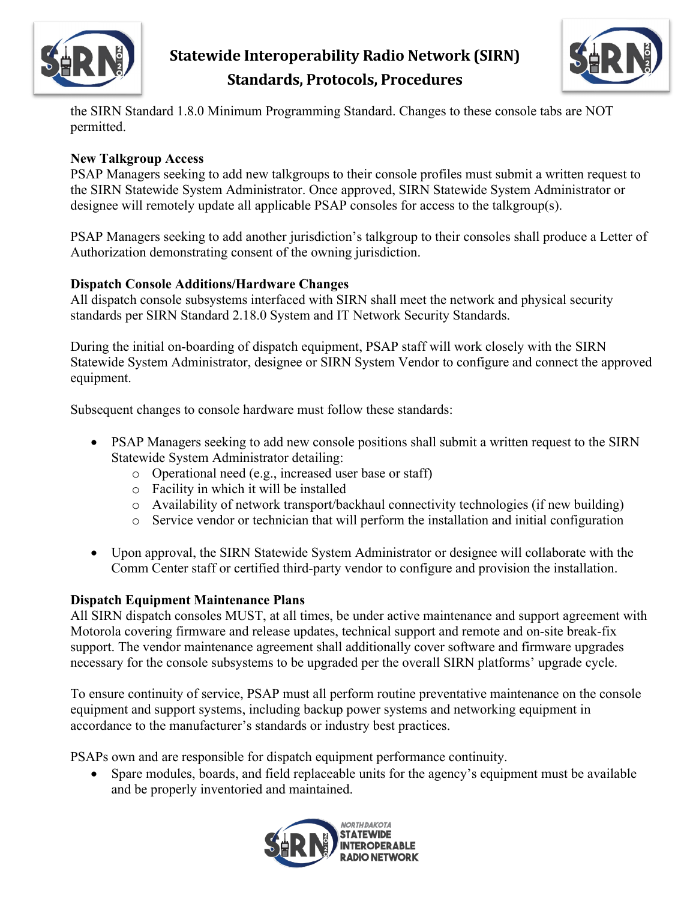



the SIRN Standard 1.8.0 Minimum Programming Standard. Changes to these console tabs are NOT permitted.

#### **New Talkgroup Access**

PSAP Managers seeking to add new talkgroups to their console profiles must submit a written request to the SIRN Statewide System Administrator. Once approved, SIRN Statewide System Administrator or designee will remotely update all applicable PSAP consoles for access to the talkgroup(s).

PSAP Managers seeking to add another jurisdiction's talkgroup to their consoles shall produce a Letter of Authorization demonstrating consent of the owning jurisdiction.

#### **Dispatch Console Additions/Hardware Changes**

All dispatch console subsystems interfaced with SIRN shall meet the network and physical security standards per SIRN Standard 2.18.0 System and IT Network Security Standards.

During the initial on-boarding of dispatch equipment, PSAP staff will work closely with the SIRN Statewide System Administrator, designee or SIRN System Vendor to configure and connect the approved equipment.

Subsequent changes to console hardware must follow these standards:

- PSAP Managers seeking to add new console positions shall submit a written request to the SIRN Statewide System Administrator detailing:
	- o Operational need (e.g., increased user base or staff)
	- o Facility in which it will be installed
	- o Availability of network transport/backhaul connectivity technologies (if new building)
	- o Service vendor or technician that will perform the installation and initial configuration
- Upon approval, the SIRN Statewide System Administrator or designee will collaborate with the Comm Center staff or certified third-party vendor to configure and provision the installation.

#### **Dispatch Equipment Maintenance Plans**

All SIRN dispatch consoles MUST, at all times, be under active maintenance and support agreement with Motorola covering firmware and release updates, technical support and remote and on-site break-fix support. The vendor maintenance agreement shall additionally cover software and firmware upgrades necessary for the console subsystems to be upgraded per the overall SIRN platforms' upgrade cycle.

To ensure continuity of service, PSAP must all perform routine preventative maintenance on the console equipment and support systems, including backup power systems and networking equipment in accordance to the manufacturer's standards or industry best practices.

PSAPs own and are responsible for dispatch equipment performance continuity.

• Spare modules, boards, and field replaceable units for the agency's equipment must be available and be properly inventoried and maintained.